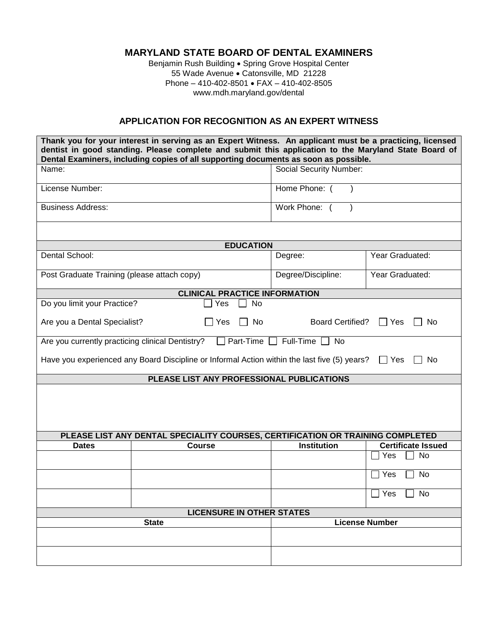## **MARYLAND STATE BOARD OF DENTAL EXAMINERS**

Benjamin Rush Building . Spring Grove Hospital Center 55 Wade Avenue · Catonsville, MD 21228 Phone – 410-402-8501 FAX – 410-402-8505 www.mdh.maryland.gov/dental

## **APPLICATION FOR RECOGNITION AS AN EXPERT WITNESS**

| Thank you for your interest in serving as an Expert Witness. An applicant must be a practicing, licensed<br>dentist in good standing. Please complete and submit this application to the Maryland State Board of<br>Dental Examiners, including copies of all supporting documents as soon as possible. |                                                                                |                                                       |                           |  |  |  |  |
|---------------------------------------------------------------------------------------------------------------------------------------------------------------------------------------------------------------------------------------------------------------------------------------------------------|--------------------------------------------------------------------------------|-------------------------------------------------------|---------------------------|--|--|--|--|
| Name:                                                                                                                                                                                                                                                                                                   |                                                                                | <b>Social Security Number:</b>                        |                           |  |  |  |  |
| License Number:                                                                                                                                                                                                                                                                                         |                                                                                | Home Phone: (                                         |                           |  |  |  |  |
| <b>Business Address:</b>                                                                                                                                                                                                                                                                                |                                                                                | Work Phone: (                                         |                           |  |  |  |  |
| <b>EDUCATION</b>                                                                                                                                                                                                                                                                                        |                                                                                |                                                       |                           |  |  |  |  |
| Dental School:                                                                                                                                                                                                                                                                                          |                                                                                | Year Graduated:<br>Degree:                            |                           |  |  |  |  |
| Post Graduate Training (please attach copy)                                                                                                                                                                                                                                                             |                                                                                | Degree/Discipline:                                    | Year Graduated:           |  |  |  |  |
| <b>CLINICAL PRACTICE INFORMATION</b>                                                                                                                                                                                                                                                                    |                                                                                |                                                       |                           |  |  |  |  |
| Do you limit your Practice?<br>Yes<br>No                                                                                                                                                                                                                                                                |                                                                                |                                                       |                           |  |  |  |  |
| Are you a Dental Specialist?                                                                                                                                                                                                                                                                            | No<br>Yes                                                                      | <b>Board Certified?</b><br>Yes<br>No.<br>$\mathbf{I}$ |                           |  |  |  |  |
| $Full-Time$<br>Are you currently practicing clinical Dentistry?<br>Part-Time<br>No                                                                                                                                                                                                                      |                                                                                |                                                       |                           |  |  |  |  |
| Have you experienced any Board Discipline or Informal Action within the last five (5) years?<br>No.<br>l Yes                                                                                                                                                                                            |                                                                                |                                                       |                           |  |  |  |  |
| PLEASE LIST ANY PROFESSIONAL PUBLICATIONS                                                                                                                                                                                                                                                               |                                                                                |                                                       |                           |  |  |  |  |
|                                                                                                                                                                                                                                                                                                         | PLEASE LIST ANY DENTAL SPECIALITY COURSES, CERTIFICATION OR TRAINING COMPLETED |                                                       |                           |  |  |  |  |
| <b>Dates</b>                                                                                                                                                                                                                                                                                            | <b>Course</b>                                                                  | <b>Institution</b>                                    | <b>Certificate Issued</b> |  |  |  |  |
|                                                                                                                                                                                                                                                                                                         |                                                                                |                                                       | No<br>Yes                 |  |  |  |  |
|                                                                                                                                                                                                                                                                                                         |                                                                                |                                                       | Yes<br><b>No</b>          |  |  |  |  |
|                                                                                                                                                                                                                                                                                                         |                                                                                |                                                       | No<br>Yes                 |  |  |  |  |
| <b>LICENSURE IN OTHER STATES</b>                                                                                                                                                                                                                                                                        |                                                                                |                                                       |                           |  |  |  |  |
| <b>State</b>                                                                                                                                                                                                                                                                                            |                                                                                |                                                       | <b>License Number</b>     |  |  |  |  |
|                                                                                                                                                                                                                                                                                                         |                                                                                |                                                       |                           |  |  |  |  |
|                                                                                                                                                                                                                                                                                                         |                                                                                |                                                       |                           |  |  |  |  |